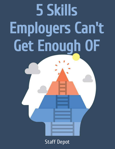# 5 Skills Employers Can't Get Enough OF

## Staff Depot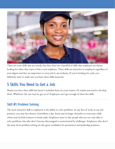

There are some skills that are trendy, but then there are a handful of skills that employers are always looking for when they want to hire a new employee. These skills are attractive to employers regardless of your degree and they are important to every job in any industry. If you're looking for a job, you definitely want to make sure you have these skills mastered.

### 5 Skills You Need to Get a Job

Maybe you have these skills but haven't included them on your resume. Or maybe you need to develop them. Whichever the case may be, get on it! Employers can't get enough of these five skills.

#### Skill #1: Problem Solving

The most attractive skill to employers is the ability to solve problems. In any line of work, in any job position, you may face dozens of problems a day. Some may be larger obstacles to overcome, while others may be little irritants to brush aside. Employers want to hire people who are not only able to solve problems, but who don't become discouraged or unmotivated by challenges. Employees who don't shy away from problem-solving are also great candidates for promotion and leadership positions.